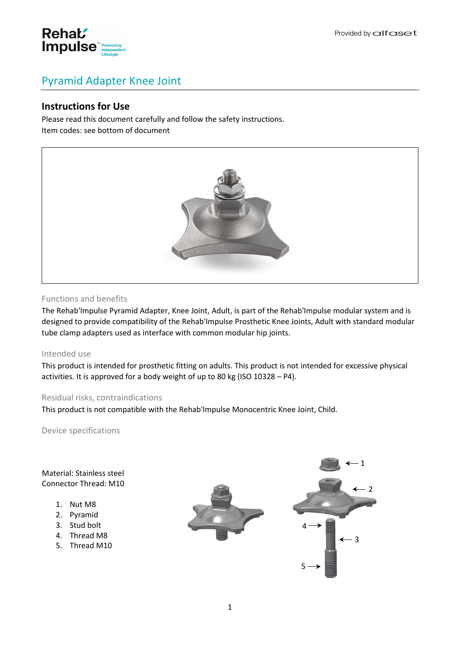

# Pyramid Adapter Knee Joint

# **Instructions for Use**

Please read this document carefully and follow the safety instructions. Item codes: see bottom of document



# Functions and benefits

The Rehab'Impulse Pyramid Adapter, Knee Joint, Adult, is part of the Rehab'Impulse modular system and is designed to provide compatibility of the Rehab'Impulse Prosthetic Knee Joints, Adult with standard modular tube clamp adapters used as interface with common modular hip joints.

#### Intended use

This product is intended for prosthetic fitting on adults. This product is not intended for excessive physical activities. It is approved for a body weight of up to 80 kg (ISO 10328 – P4).

#### Residual risks, contraindications

This product is not compatible with the Rehab'Impulse Monocentric Knee Joint, Child.

Device specifications

Material: Stainless steel Connector Thread: M10

- 1. Nut M8
- 2. Pyramid
- 3. Stud bolt
- 4. Thread M8
- 5. Thread M10

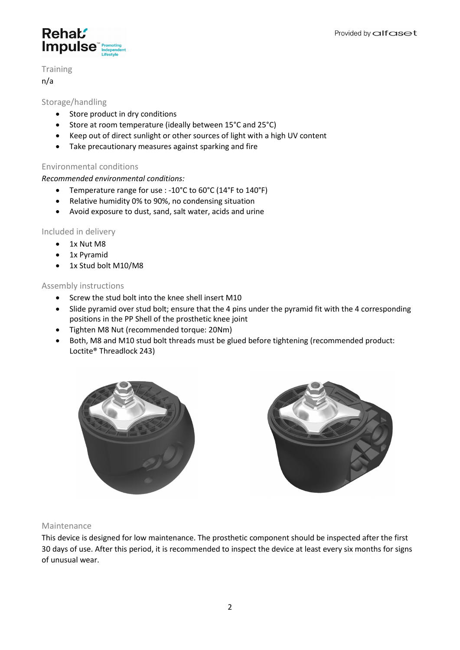

**Training** 

n/a

# Storage/handling

- Store product in dry conditions
- Store at room temperature (ideally between 15°C and 25°C)
- Keep out of direct sunlight or other sources of light with a high UV content
- Take precautionary measures against sparking and fire

#### Environmental conditions

#### *Recommended environmental conditions:*

- Temperature range for use : -10°C to 60°C (14°F to 140°F)
- Relative humidity 0% to 90%, no condensing situation
- Avoid exposure to dust, sand, salt water, acids and urine

#### Included in delivery

- 1x Nut M8
- 1x Pyramid
- 1x Stud bolt M10/M8

#### Assembly instructions

- Screw the stud bolt into the knee shell insert M10
- Slide pyramid over stud bolt; ensure that the 4 pins under the pyramid fit with the 4 corresponding positions in the PP Shell of the prosthetic knee joint
- Tighten M8 Nut (recommended torque: 20Nm)
- Both, M8 and M10 stud bolt threads must be glued before tightening (recommended product: Loctite® Threadlock 243)





#### Maintenance

This device is designed for low maintenance. The prosthetic component should be inspected after the first 30 days of use. After this period, it is recommended to inspect the device at least every six months for signs of unusual wear.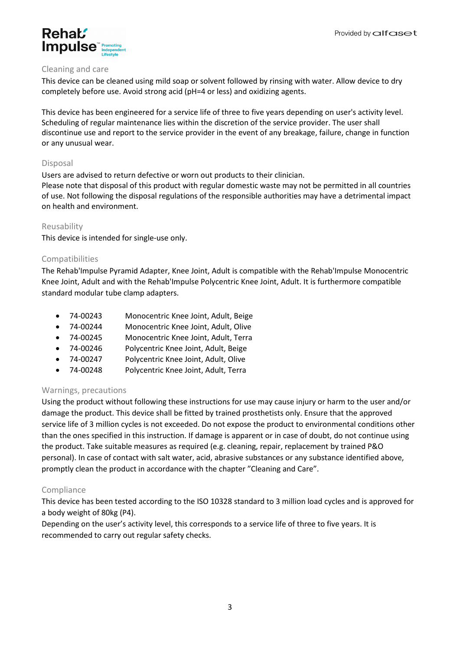

#### Cleaning and care

This device can be cleaned using mild soap or solvent followed by rinsing with water. Allow device to dry completely before use. Avoid strong acid (pH=4 or less) and oxidizing agents.

This device has been engineered for a service life of three to five years depending on user's activity level. Scheduling of regular maintenance lies within the discretion of the service provider. The user shall discontinue use and report to the service provider in the event of any breakage, failure, change in function or any unusual wear.

# Disposal

Users are advised to return defective or worn out products to their clinician.

Please note that disposal of this product with regular domestic waste may not be permitted in all countries of use. Not following the disposal regulations of the responsible authorities may have a detrimental impact on health and environment.

# Reusability

This device is intended for single-use only.

# Compatibilities

The Rehab'Impulse Pyramid Adapter, Knee Joint, Adult is compatible with the Rehab'Impulse Monocentric Knee Joint, Adult and with the Rehab'Impulse Polycentric Knee Joint, Adult. It is furthermore compatible standard modular tube clamp adapters.

- 74-00243 Monocentric Knee Joint, Adult, Beige
- 74-00244 Monocentric Knee Joint, Adult, Olive
- 74-00245 Monocentric Knee Joint, Adult, Terra
- 74-00246 Polycentric Knee Joint, Adult, Beige
- 74-00247 Polycentric Knee Joint, Adult, Olive
- 74-00248 Polycentric Knee Joint, Adult, Terra

# Warnings, precautions

Using the product without following these instructions for use may cause injury or harm to the user and/or damage the product. This device shall be fitted by trained prosthetists only. Ensure that the approved service life of 3 million cycles is not exceeded. Do not expose the product to environmental conditions other than the ones specified in this instruction. If damage is apparent or in case of doubt, do not continue using the product. Take suitable measures as required (e.g. cleaning, repair, replacement by trained P&O personal). In case of contact with salt water, acid, abrasive substances or any substance identified above, promptly clean the product in accordance with the chapter "Cleaning and Care".

# Compliance

This device has been tested according to the ISO 10328 standard to 3 million load cycles and is approved for a body weight of 80kg (P4).

Depending on the user's activity level, this corresponds to a service life of three to five years. It is recommended to carry out regular safety checks.